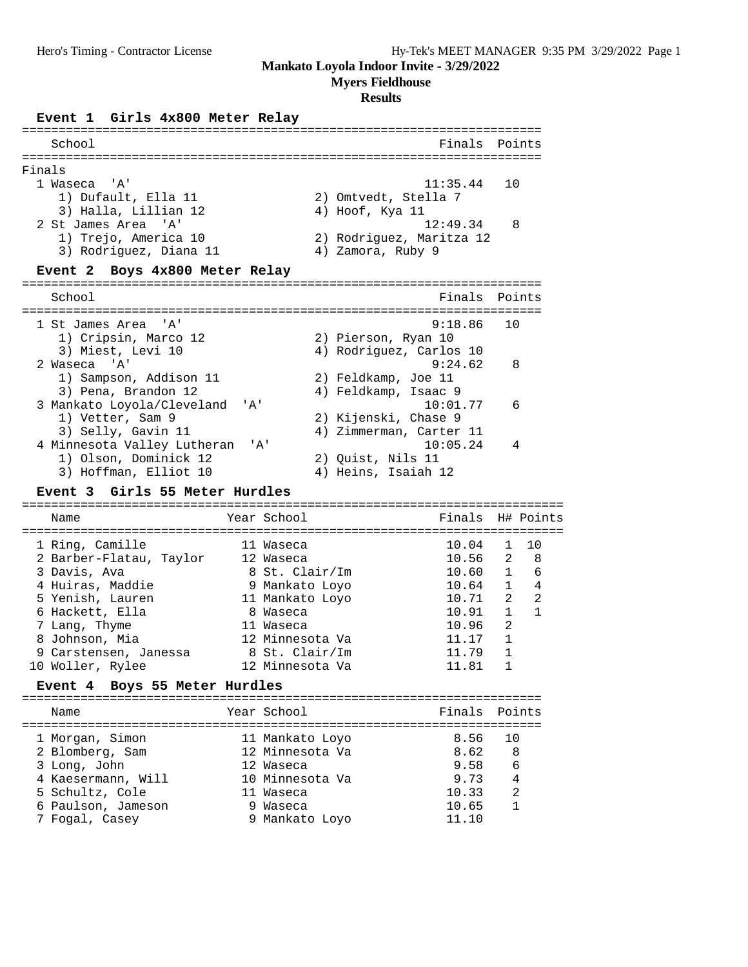## **Myers Fieldhouse**

#### **Results**

#### **Event 1 Girls 4x800 Meter Relay**

| School                              | Finals<br>Points         |
|-------------------------------------|--------------------------|
|                                     |                          |
| Finals                              |                          |
| 1 Waseca 'A'                        | 10<br>11:35.44           |
| 1) Dufault, Ella 11                 | 2) Omtvedt, Stella 7     |
| 3) Halla, Lillian 12                | 4) Hoof, Kya 11          |
| 2 St James Area 'A'                 | 12:49.34<br>8            |
| 1) Trejo, America 10                | 2) Rodriguez, Maritza 12 |
| 3) Rodriquez, Diana 11              | 4) Zamora, Ruby 9        |
| Event 2 Boys 4x800 Meter Relay      |                          |
|                                     |                          |
| School                              | Finals<br>Points         |
|                                     |                          |
| 1 St James Area 'A'                 | 9:18.86<br>10            |
| 1) Cripsin, Marco 12                | 2) Pierson, Ryan 10      |
| 3) Miest, Levi 10                   | 4) Rodriguez, Carlos 10  |
| 2 Waseca 'A'                        | 9:24.62<br>8             |
| 1) Sampson, Addison 11              | 2) Feldkamp, Joe 11      |
| 3) Pena, Brandon 12                 | 4) Feldkamp, Isaac 9     |
| 3 Mankato Loyola/Cleveland<br>' A ' | 10:01.77<br>6            |
| 1) Vetter, Sam 9                    | 2) Kijenski, Chase 9     |
| 3) Selly, Gavin 11                  | 4) Zimmerman, Carter 11  |
| 4 Minnesota Valley Lutheran<br>' A' | 10:05.24<br>4            |
| 1) Olson, Dominick 12               | 2) Quist, Nils 11        |
| 3) Hoffman, Elliot 10               | 4) Heins, Isaiah 12      |

#### **Event 3 Girls 55 Meter Hurdles**

========================================================================== Name Year School Finals H# Points ========================================================================== 1 Ring, Camille 11 Waseca 10.04 1 10 2 Barber-Flatau, Taylor 12 Waseca 10.56 2 8 3 Davis, Ava 8 St. Clair/Im 10.60 1 6 4 Huiras, Maddie 9 Mankato Loyo 10.64 1 4 5 Yenish, Lauren 11 Mankato Loyo 10.71 2 2 6 Hackett, Ella 8 Waseca 10.91 1 1 7 Lang, Thyme 11 Waseca 10.96 2 8 Johnson, Mia 12 Minnesota Va 11.17 1 9 Carstensen, Janessa and 8 St. Clair/Im 11.79 1 10 Woller, Rylee 12 Minnesota Va 11.81 1 **Event 4 Boys 55 Meter Hurdles** =======================================================================

| Finals Points |                     |
|---------------|---------------------|
| 10            |                     |
| 6             |                     |
| 2             |                     |
|               |                     |
|               | 8<br>$\overline{4}$ |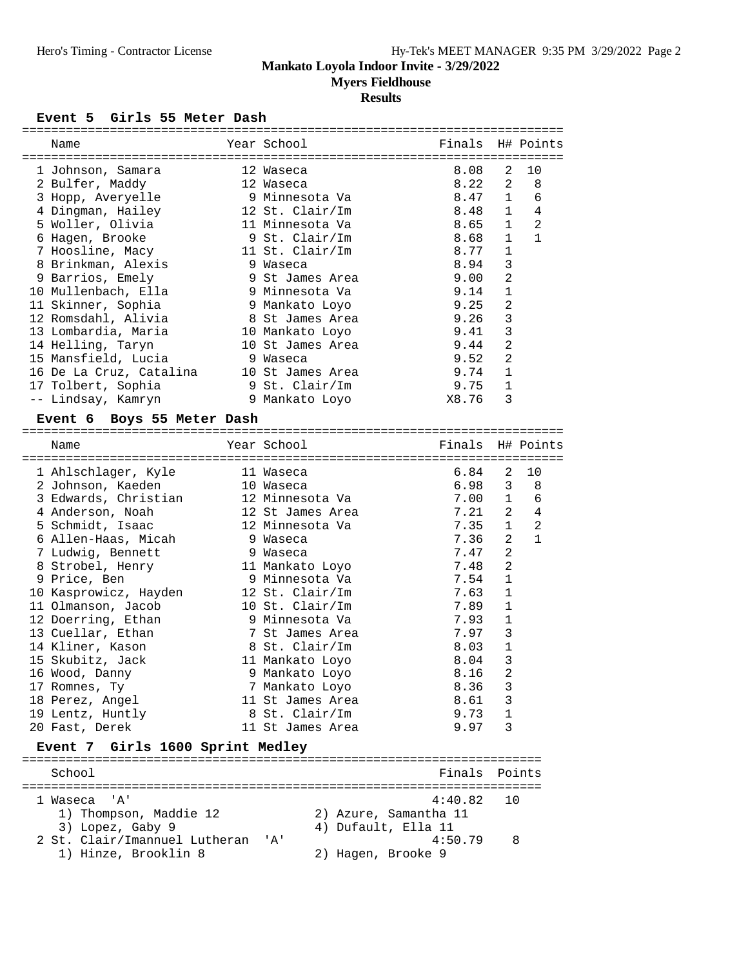**Myers Fieldhouse**

# **Results**

# Event 5 Girls 55 Meter Dash

| Name                             | Year School         | Finals                |                | H# Points    |
|----------------------------------|---------------------|-----------------------|----------------|--------------|
|                                  |                     |                       |                |              |
| 1 Johnson, Samara                | 12 Waseca           | 8.08                  | 2              | 10           |
| 2 Bulfer, Maddy                  | 12 Waseca           | 8.22                  | 2              | 8            |
| 3 Hopp, Averyelle                | 9 Minnesota Va      | 8.47                  | 1              | 6            |
| 4 Dingman, Hailey                | 12 St. Clair/Im     | 8.48                  | $\mathbf{1}$   | 4            |
| 5 Woller, Olivia                 | 11 Minnesota Va     | 8.65                  | $\mathbf{1}$   | 2            |
| 6 Hagen, Brooke                  | 9 St. Clair/Im      | 8.68                  | $\mathbf{1}$   | $\mathbf{1}$ |
| 7 Hoosline, Macy                 | 11 St. Clair/Im     | 8.77                  | 1              |              |
| 8 Brinkman, Alexis               | 9 Waseca            | 8.94                  | 3              |              |
| 9 Barrios, Emely                 | 9 St James Area     | 9.00                  | 2              |              |
| 10 Mullenbach, Ella              | 9 Minnesota Va      | 9.14                  | 1              |              |
| 11 Skinner, Sophia               | 9 Mankato Loyo      | 9.25                  | $\overline{2}$ |              |
| 12 Romsdahl, Alivia              | 8 St James Area     | 9.26                  | 3              |              |
| 13 Lombardia, Maria              | 10 Mankato Loyo     | 9.41                  | 3              |              |
| 14 Helling, Taryn                | 10 St James Area    | 9.44                  | 2              |              |
| 15 Mansfield, Lucia              | 9 Waseca            | 9.52                  | $\overline{c}$ |              |
| 16 De La Cruz, Catalina          | 10 St James Area    | 9.74                  | 1              |              |
| 17 Tolbert, Sophia               | 9 St. Clair/Im      | 9.75                  | $\mathbf{1}$   |              |
| -- Lindsay, Kamryn               | 9 Mankato Loyo      | X8.76                 | 3              |              |
| Event 6 Boys 55 Meter Dash       |                     |                       |                |              |
|                                  |                     |                       |                |              |
| Name                             | Year School         | Finals                |                | H# Points    |
|                                  |                     |                       |                |              |
| 1 Ahlschlager, Kyle              | 11 Waseca           | 6.84                  | 2              | 10           |
| 2 Johnson, Kaeden                | 10 Waseca           | 6.98                  | 3              | 8            |
| 3 Edwards, Christian             | 12 Minnesota Va     | 7.00                  | $\mathbf{1}$   | 6            |
| 4 Anderson, Noah                 | 12 St James Area    | 7.21                  | 2              | 4            |
| 5 Schmidt, Isaac                 | 12 Minnesota Va     | 7.35                  | $\mathbf{1}$   | 2            |
| 6 Allen-Haas, Micah              | 9 Waseca            | 7.36                  | 2              | $\mathbf{1}$ |
| 7 Ludwig, Bennett                | 9 Waseca            | 7.47                  | $\overline{2}$ |              |
| 8 Strobel, Henry                 | 11 Mankato Loyo     | 7.48                  | 2              |              |
| 9 Price, Ben                     | 9 Minnesota Va      | 7.54                  | 1              |              |
| 10 Kasprowicz, Hayden            | 12 St. Clair/Im     | 7.63                  | 1              |              |
| 11 Olmanson, Jacob               | 10 St. Clair/Im     | 7.89                  | 1              |              |
| 12 Doerring, Ethan               | 9 Minnesota Va      | 7.93                  | $\mathbf{1}$   |              |
| 13 Cuellar, Ethan                | 7 St James Area     | 7.97                  | 3              |              |
| 14 Kliner, Kason                 | 8 St. Clair/Im      | 8.03                  | $\mathbf{1}$   |              |
| 15 Skubitz, Jack                 | 11 Mankato Loyo     | 8.04                  | 3              |              |
| 16 Wood, Danny                   | 9 Mankato Loyo      | 8.16                  | 2              |              |
| 17 Romnes, Ty                    | 7 Mankato Loyo      | 8.36                  | 3              |              |
| 18 Perez, Angel                  | 11 St James Area    | 8.61                  | 3              |              |
| 19 Lentz, Huntly                 | 8 St. Clair/Im      | 9.73                  | 1              |              |
| 20 Fast, Derek                   | 11 St James Area    | 9.97                  | 3              |              |
| Event 7 Girls 1600 Sprint Medley |                     |                       |                |              |
|                                  |                     |                       |                |              |
| School                           |                     | Finals                |                | Points       |
|                                  |                     |                       |                |              |
| l Waseca<br>. A '                |                     | 4:40.82               | 10             |              |
| 1) Thompson, Maddie 12           |                     | 2) Azure, Samantha 11 |                |              |
| 3) Lopez, Gaby 9                 | 4) Dufault, Ella 11 |                       |                |              |
| 2 St. Clair/Imannuel Lutheran    | '' A '              | 4:50.79               | 8              |              |
| 1) Hinze, Brooklin 8             | 2) Hagen, Brooke 9  |                       |                |              |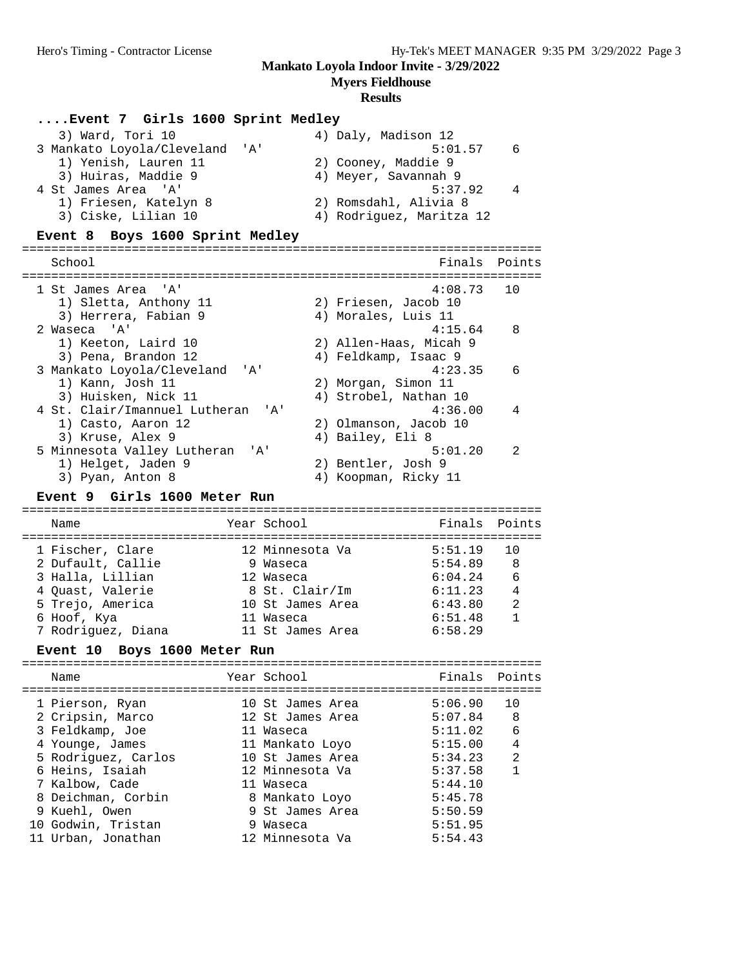**Myers Fieldhouse**

## **Results**

# **....Event 7 Girls 1600 Sprint Medley**

| 3) Ward, Tori 10               | 4) Daly, Madison 12      |    |
|--------------------------------|--------------------------|----|
| 3 Mankato Loyola/Cleveland 'A' | 5:01.57                  | -6 |
| 1) Yenish, Lauren 11           | 2) Cooney, Maddie 9      |    |
| 3) Huiras, Maddie 9            | 4) Meyer, Savannah 9     |    |
| 4 St James Area 'A'            | 5:37.92                  | 4  |
| 1) Friesen, Katelyn 8          | 2) Romsdahl, Alivia 8    |    |
| 3) Ciske, Lilian 10            | 4) Rodriguez, Maritza 12 |    |
|                                |                          |    |

# **Event 8 Boys 1600 Sprint Medley**

| School                                       |                        | Finals Points  |
|----------------------------------------------|------------------------|----------------|
| 1 St James Area 'A'                          | $4:08.73$ 10           |                |
| 1) Sletta, Anthony 11                        | 2) Friesen, Jacob 10   |                |
| 3) Herrera, Fabian 9                         | 4) Morales, Luis 11    |                |
| 2 Waseca 'A'                                 | 4:15.64                | 8              |
| 1) Keeton, Laird 10                          | 2) Allen-Haas, Micah 9 |                |
| 3) Pena, Brandon 12                          | 4) Feldkamp, Isaac 9   |                |
| 3 Mankato Loyola/Cleveland<br>י ב <i>ו</i> י | 4:23.35                | 6              |
| 1) Kann, Josh 11                             | 2) Morgan, Simon 11    |                |
| 3) Huisken, Nick 11                          | 4) Strobel, Nathan 10  |                |
| 4 St. Clair/Imannuel Lutheran 'A'            | 4:36.00                | $\overline{4}$ |
| 1) Casto, Aaron 12                           | 2) Olmanson, Jacob 10  |                |
| 3) Kruse, Alex 9                             | 4) Bailey, Eli 8       |                |
| 5 Minnesota Valley Lutheran<br>' A '         | 5:01.20                | $\mathcal{D}$  |
| 1) Helget, Jaden 9                           | 2) Bentler, Josh 9     |                |
| 3) Pyan, Anton 8                             | Koopman, Ricky 11      |                |

# **Event 9 Girls 1600 Meter Run**

| Name               | Year School      | Finals Points |                |
|--------------------|------------------|---------------|----------------|
| 1 Fischer, Clare   | 12 Minnesota Va  | 5:51.19       | <u>າດ</u>      |
| 2 Dufault, Callie  | 9 Waseca         | 5:54.89       | - 8            |
| 3 Halla, Lillian   | 12 Waseca        | 6:04.24       | - 6            |
| 4 Quast, Valerie   | 8 St. Clair/Im   | 6:11.23       | $\overline{4}$ |
| 5 Trejo, America   | 10 St James Area | 6:43.80       | 2              |
| 6 Hoof, Kya        | 11 Waseca        | 6:51.48       |                |
| 7 Rodriquez, Diana | 11 St James Area | 6:58.29       |                |

# **Event 10 Boys 1600 Meter Run**

|  | Name                |    | Year School      | Finals Points |                |
|--|---------------------|----|------------------|---------------|----------------|
|  | 1 Pierson, Ryan     |    | 10 St James Area | 5:06.90       | ີ 1 ດ          |
|  | 2 Cripsin, Marco    |    | 12 St James Area | 5:07.84       | -8             |
|  | 3 Feldkamp, Joe     |    | 11 Waseca        | 5:11.02       | 6              |
|  | 4 Younge, James     |    | 11 Mankato Loyo  | 5:15.00       | $\overline{4}$ |
|  | 5 Rodriguez, Carlos |    | 10 St James Area | 5:34.23       | $\mathfrak{D}$ |
|  | 6 Heins, Isaiah     |    | 12 Minnesota Va  | 5:37.58       | $\mathbf{1}$   |
|  | 7 Kalbow, Cade      |    | 11 Waseca        | 5:44.10       |                |
|  | 8 Deichman, Corbin  |    | 8 Mankato Loyo   | 5:45.78       |                |
|  | 9 Kuehl, Owen       |    | 9 St James Area  | 5:50.59       |                |
|  | 10 Godwin, Tristan  | 9. | Waseca           | 5:51.95       |                |
|  | Urban, Jonathan     |    | 12 Minnesota Va  | 5:54.43       |                |
|  |                     |    |                  |               |                |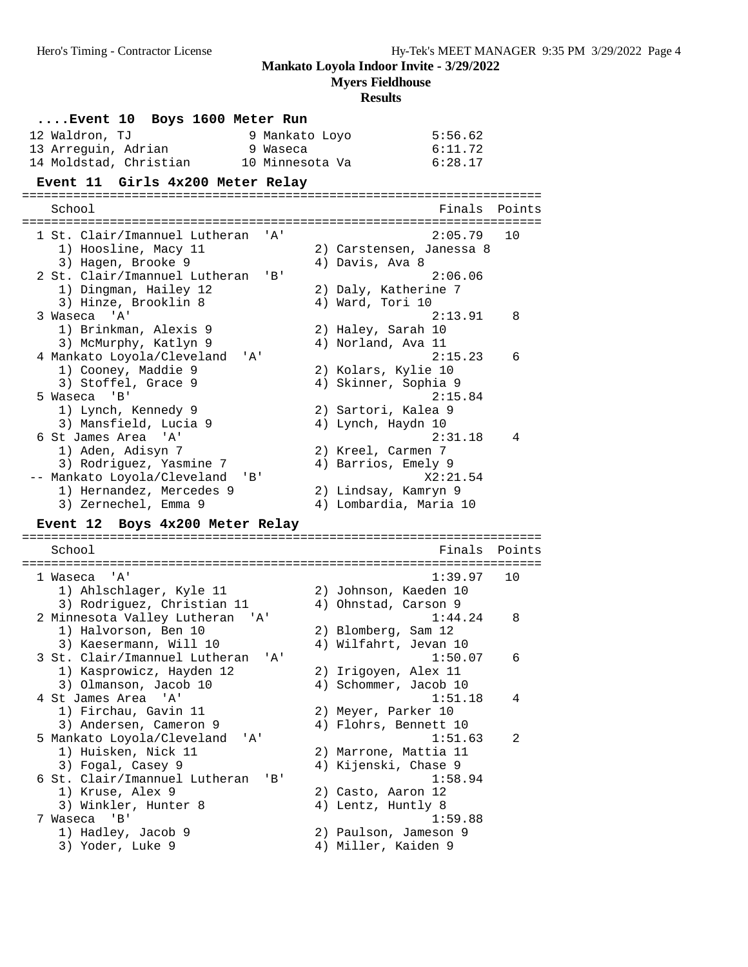**Myers Fieldhouse**

| Event 10 Boys 1600 Meter Run<br>12 Waldron, TJ<br>9 Mankato Loyo<br>13 Arrequin, Adrian<br>9 Waseca | 5:56.62<br>6:11.72                           |        |
|-----------------------------------------------------------------------------------------------------|----------------------------------------------|--------|
| 14 Moldstad, Christian<br>10 Minnesota Va<br>Girls 4x200 Meter Relay<br><b>Event 11</b>             | 6:28.17                                      |        |
| School                                                                                              | Finals                                       | Points |
| 1 St. Clair/Imannuel Lutheran<br>' A '                                                              | 2:05.79                                      | 10     |
| 1) Hoosline, Macy 11                                                                                | 2) Carstensen, Janessa 8<br>4) Davis, Ava 8  |        |
| 3) Hagen, Brooke 9<br>2 St. Clair/Imannuel Lutheran<br>'B'                                          | 2:06.06                                      |        |
| 1) Dingman, Hailey 12                                                                               | 2) Daly, Katherine 7                         |        |
| 3) Hinze, Brooklin 8<br>3 Waseca<br>'A'                                                             | 4) Ward, Tori 10<br>2:13.91                  | 8      |
| 1) Brinkman, Alexis 9                                                                               | 2) Haley, Sarah 10                           |        |
| 3) McMurphy, Katlyn 9                                                                               | 4) Norland, Ava 11                           |        |
| 4 Mankato Loyola/Cleveland<br>'A'                                                                   | 2:15.23                                      | 6      |
| 1) Cooney, Maddie 9<br>3) Stoffel, Grace 9                                                          | 2) Kolars, Kylie 10<br>4) Skinner, Sophia 9  |        |
| 5 Waseca<br>'B'                                                                                     | 2:15.84                                      |        |
| 1) Lynch, Kennedy 9                                                                                 | 2) Sartori, Kalea 9                          |        |
| 3) Mansfield, Lucia 9<br>6 St James Area<br>" A '                                                   | 4) Lynch, Haydn 10<br>2:31.18                | 4      |
| 1) Aden, Adisyn 7                                                                                   | 2) Kreel, Carmen 7                           |        |
| 3) Rodriguez, Yasmine 7                                                                             | 4) Barrios, Emely 9                          |        |
| -- Mankato Loyola/Cleveland<br>'B'                                                                  | X2:21.54                                     |        |
|                                                                                                     |                                              |        |
| 1) Hernandez, Mercedes 9                                                                            | 2) Lindsay, Kamryn 9                         |        |
| 3) Zernechel, Emma 9                                                                                | 4) Lombardia, Maria 10                       |        |
| Event 12 Boys 4x200 Meter Relay                                                                     |                                              | ====== |
| School                                                                                              | Finals                                       | Points |
| ' A '                                                                                               |                                              |        |
| 1 Waseca<br>1) Ahlschlager, Kyle 11                                                                 | 1:39.97<br>2) Johnson, Kaeden 10             | 10     |
| 3) Rodriguez, Christian 11                                                                          | 4) Ohnstad, Carson 9                         |        |
| 2 Minnesota Valley Lutheran<br>'A'                                                                  | 1:44.24                                      | 8      |
| 1) Halvorson, Ben 10                                                                                | 2) Blomberg, Sam 12                          |        |
| 3) Kaesermann, Will 10<br>' 'A '                                                                    | 4) Wilfahrt, Jevan 10                        | 6      |
| 3 St. Clair/Imannuel Lutheran<br>1) Kasprowicz, Hayden 12                                           | 1:50.07<br>2) Irigoyen, Alex 11              |        |
| 3) Olmanson, Jacob 10                                                                               | 4) Schommer, Jacob 10                        |        |
| 4 St James Area 'A'                                                                                 | 1:51.18                                      | 4      |
| 1) Firchau, Gavin 11                                                                                | 2) Meyer, Parker 10                          |        |
| 3) Andersen, Cameron 9<br>5 Mankato Loyola/Cleveland<br>'A'                                         | 4) Flohrs, Bennett 10<br>1:51.63             | 2      |
| 1) Huisken, Nick 11                                                                                 | 2) Marrone, Mattia 11                        |        |
| 3) Fogal, Casey 9                                                                                   | 4) Kijenski, Chase 9                         |        |
| 6 St. Clair/Imannuel Lutheran<br>'B'                                                                | 1:58.94                                      |        |
| 1) Kruse, Alex 9<br>3) Winkler, Hunter 8                                                            | 2) Casto, Aaron 12<br>4) Lentz, Huntly 8     |        |
| 7 Waseca<br>'B'                                                                                     | 1:59.88                                      |        |
| 1) Hadley, Jacob 9<br>3) Yoder, Luke 9                                                              | 2) Paulson, Jameson 9<br>4) Miller, Kaiden 9 |        |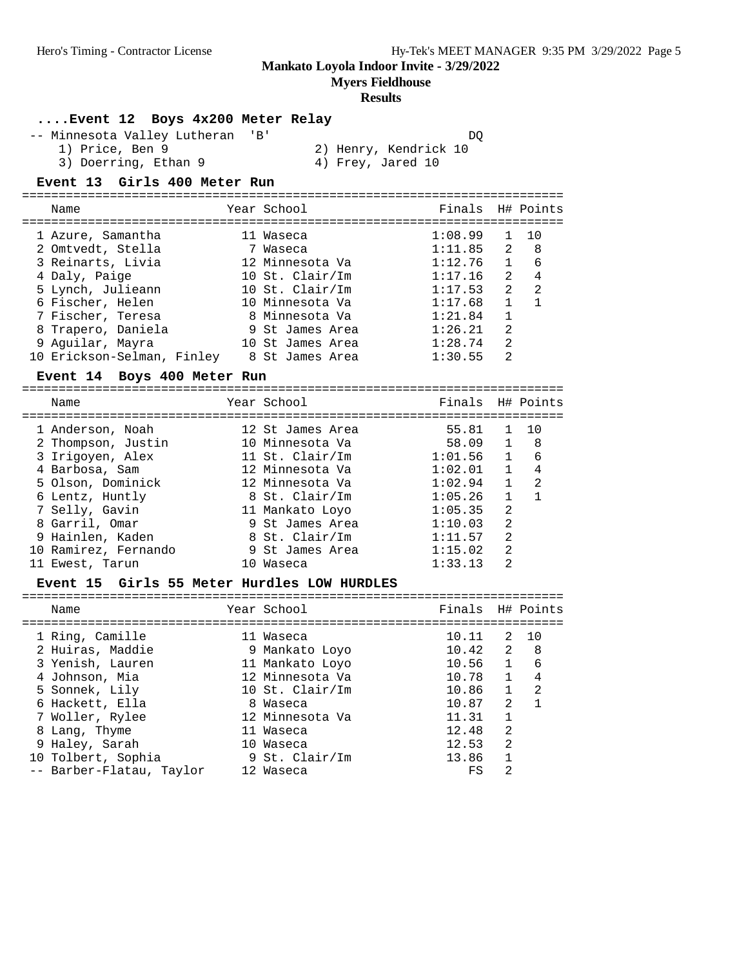**Myers Fieldhouse**

## **Results**

## **....Event 12 Boys 4x200 Meter Relay**

-- Minnesota Valley Lutheran 'B' DQ<br>1) Price, Ben 9 2) Henry, Kendrick 10 1) Price, Ben 9 2) Henry, Kendrick 10 3) Doerring, Ethan 9 4) Frey, Jared 10

## **Event 13 Girls 400 Meter Run**

| Name                                                                                                                                                             | Year School                                                                                                                              | Finals H# Points                                                                     |                                                                                    |                                                       |
|------------------------------------------------------------------------------------------------------------------------------------------------------------------|------------------------------------------------------------------------------------------------------------------------------------------|--------------------------------------------------------------------------------------|------------------------------------------------------------------------------------|-------------------------------------------------------|
| 1 Azure, Samantha<br>2 Omtvedt, Stella<br>3 Reinarts, Livia<br>4 Daly, Paige<br>5 Lynch, Julieann<br>6 Fischer, Helen<br>7 Fischer, Teresa<br>8 Trapero, Daniela | 11 Waseca<br>7 Waseca<br>12 Minnesota Va<br>10 St. Clair/Im<br>10 St. $Clair/Im$<br>10 Minnesota Va<br>8 Minnesota Va<br>9 St James Area | 1:08.99<br>1:11.85<br>1:12.76<br>1:17.16<br>1:17.53<br>1:17.68<br>1:21.84<br>1:26.21 | 1<br>2<br>$\mathbf{1}$<br>$\overline{2}$<br>2<br>$\mathbf{1}$<br>$\mathbf{1}$<br>2 | 10<br>8 <sup>8</sup><br>6<br>4<br>2<br>$\overline{1}$ |
| 9 Aquilar, Mayra<br>10 Erickson-Selman, Finley                                                                                                                   | 10 St James Area<br>8 St James Area                                                                                                      | 1:28.74<br>1:30.55                                                                   | $\mathfrak{D}$<br>$\mathfrak{D}$                                                   |                                                       |
| Event 14 Boys 400 Meter Run                                                                                                                                      |                                                                                                                                          |                                                                                      |                                                                                    |                                                       |

# ==========================================================================

| Name                 |                  |                                                                                                                                                                                                                    |                |                                                                                   |
|----------------------|------------------|--------------------------------------------------------------------------------------------------------------------------------------------------------------------------------------------------------------------|----------------|-----------------------------------------------------------------------------------|
|                      |                  | 55.81                                                                                                                                                                                                              |                | 10                                                                                |
| 2 Thompson, Justin   |                  |                                                                                                                                                                                                                    |                | - 8                                                                               |
| 3 Irigoyen, Alex     |                  |                                                                                                                                                                                                                    |                | 6                                                                                 |
| 4 Barbosa, Sam       |                  |                                                                                                                                                                                                                    | $\mathbf{1}$   | 4                                                                                 |
| 5 Olson, Dominick    |                  |                                                                                                                                                                                                                    | $\mathbf{1}$   | 2                                                                                 |
| 6 Lentz, Huntly      |                  | 1:05.26                                                                                                                                                                                                            |                |                                                                                   |
| 7 Selly, Gavin       |                  | 1:05.35                                                                                                                                                                                                            | $\mathfrak{D}$ |                                                                                   |
| 8 Garril, Omar       |                  | 1:10.03                                                                                                                                                                                                            | $\mathfrak{D}$ |                                                                                   |
| 9 Hainlen, Kaden     |                  | 1:11.57                                                                                                                                                                                                            | $\mathfrak{D}$ |                                                                                   |
| 10 Ramirez, Fernando |                  | 1:15.02                                                                                                                                                                                                            | 2              |                                                                                   |
| 11 Ewest, Tarun      | 10               | 1:33.13                                                                                                                                                                                                            | $\mathfrak{D}$ |                                                                                   |
|                      | 1 Anderson, Noah | Year School<br>12 St James Area<br>10 Minnesota Va<br>11 St. Clair/Im<br>12 Minnesota Va<br>12 Minnesota Va<br>8 St. Clair/Im<br>11 Mankato Loyo<br>9 St James Area<br>8 St. Clair/Im<br>9 St James Area<br>Waseca |                | Finals H# Points<br>$\mathbf{1}$<br>58.09 1<br>1:01.56<br>1<br>1:02.01<br>1:02.94 |

#### **Event 15 Girls 55 Meter Hurdles LOW HURDLES**

| Name                     | Year School       | Finals H# Points |                |     |
|--------------------------|-------------------|------------------|----------------|-----|
| 1 Ring, Camille          | 11 Waseca         | 10.11            | 2              | 10  |
| 2 Huiras, Maddie         | 9 Mankato Loyo    | 10.42            | 2              | - 8 |
| 3 Yenish, Lauren         | 11 Mankato Loyo   | 10.56            | $\overline{1}$ | 6   |
| 4 Johnson, Mia           | 12 Minnesota Va   | 10.78            | $\mathbf{1}$   | 4   |
| 5 Sonnek, Lily           | 10 St. $Clair/Im$ | 10.86            | $\mathbf{1}$   | -2  |
| 6 Hackett, Ella          | 8 Waseca          | 10.87            | $\mathcal{L}$  |     |
| 7 Woller, Rylee          | 12 Minnesota Va   | 11.31            |                |     |
| 8 Lang, Thyme            | 11 Waseca         | 12.48            | 2              |     |
| 9 Haley, Sarah           | 10 Waseca         | 12.53            | 2              |     |
| 10 Tolbert, Sophia       | 9 St. Clair/Im    | 13.86            |                |     |
| -- Barber-Flatau, Taylor | 12 Waseca         | FS               | 2              |     |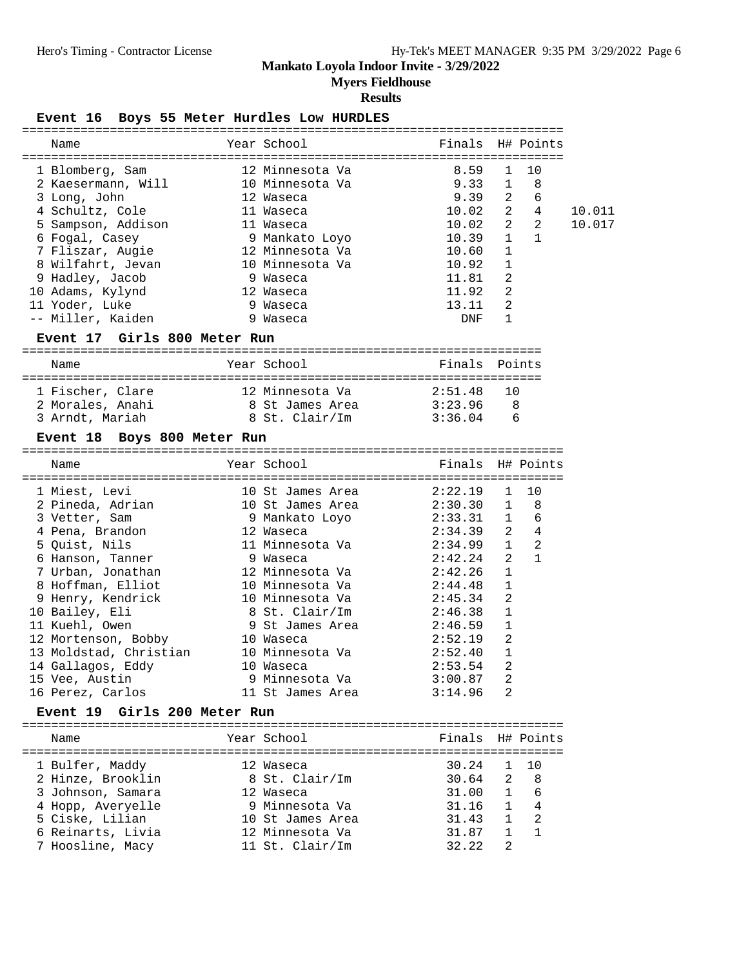**Myers Fieldhouse**

### **Results**

#### Event 16 Boys 55 Meter Hurdles Low HURDLES

| Name                                                                 |           | Year School                        | Finals H# Points               |                   |                          |        |
|----------------------------------------------------------------------|-----------|------------------------------------|--------------------------------|-------------------|--------------------------|--------|
|                                                                      |           | 12 Minnesota Va                    | 8.59                           | 1                 | 10                       |        |
| 1 Blomberg, Sam<br>2 Kaesermann, Will 10 Minnesota Va                |           |                                    | 9.33                           | $\mathbf{1}$      | $_{\rm 8}$               |        |
| 3 Long, John                                                         | 12 Waseca |                                    | 9.39                           | 2                 | 6                        |        |
| 4 Schultz, Cole                                                      |           | 11 Waseca                          | 10.02                          |                   | $2 \qquad 4$             | 10.011 |
| 5 Sampson, Addison                                                   |           | 11 Waseca                          | 10.02                          |                   | $2\quad 2$               | 10.017 |
| 6 Fogal, Casey                                                       |           | 9 Mankato Loyo                     | 10.39                          | $\mathbf{1}$      | $\overline{1}$           |        |
| 7 Fliszar, Augie                                                     |           | 12 Minnesota Va                    | 10.60                          | 1                 |                          |        |
| 8 Wilfahrt, Jevan                                                    |           | 10 Minnesota Va                    | 10.92                          | 1                 |                          |        |
| 9 Hadley, Jacob                                                      |           | 9 Waseca                           | 11.81                          | 2                 |                          |        |
| 10 Adams, Kylynd                                                     |           | 12 Waseca                          | 11.92                          | 2                 |                          |        |
| 11 Yoder, Luke                                                       |           | 9 Waseca                           | 13.11                          | 2                 |                          |        |
| -- Miller, Kaiden                                                    |           | 9 Waseca                           | DNF                            | $\mathbf{1}$      |                          |        |
| Event 17 Girls 800 Meter Run                                         |           |                                    |                                |                   |                          |        |
|                                                                      |           |                                    |                                |                   |                          |        |
| Name                                                                 |           | Year School States School          | Finals Points                  |                   |                          |        |
| 1 Fischer, Clare 12 Minnesota Va                                     |           |                                    | 2:51.48                        | 10                |                          |        |
| 2 Morales, Anahi 8 St James Area 3:23.96                             |           |                                    |                                | 8                 |                          |        |
| 3 Arndt, Mariah               8 St. Clair/Im           3:36.04     6 |           |                                    |                                |                   |                          |        |
| Event 18 Boys 800 Meter Run                                          |           |                                    |                                |                   |                          |        |
| Name                                                                 |           | Year School                        | Finals H# Points               |                   |                          |        |
|                                                                      |           |                                    |                                |                   |                          |        |
|                                                                      |           |                                    |                                |                   |                          |        |
|                                                                      |           |                                    |                                |                   |                          |        |
| 1 Miest, Levi                                                        |           | 10 St James Area                   | 2:22.19                        | 1                 | 10                       |        |
| 2 Pineda, Adrian                                                     |           | 10 St James Area                   | 2:30.30                        | $\mathbf{1}$      | 8                        |        |
| 3 Vetter, Sam                                                        |           | 9 Mankato Loyo                     |                                |                   |                          |        |
| 4 Pena, Brandon                                                      |           | 12 Waseca                          | $2:33.31$ 1 6<br>$2:34.39$ 2 4 |                   |                          |        |
| 5 Quist, Nils                                                        |           | 11 Minnesota Va                    | $2:34.99$ 1                    |                   | $\overline{\phantom{a}}$ |        |
| 6 Hanson, Tanner                                                     |           | 9 Waseca                           | 2:42.24                        | 2                 | $\mathbf{1}$             |        |
| 7 Urban, Jonathan                                                    |           | 12 Minnesota Va                    | 2:42.26<br>2:44.48             | 1<br>1            |                          |        |
| 8 Hoffman, Elliot                                                    |           | 10 Minnesota Va<br>10 Minnesota Va | 2:45.34                        |                   |                          |        |
| 9 Henry, Kendrick                                                    |           |                                    | 2:46.38                        | 2<br>$\mathbf{1}$ |                          |        |
| 10 Bailey, Eli                                                       |           | 8 St. Clair/Im                     | 2:46.59                        | $\mathbf{1}$      |                          |        |
| 11 Kuehl, Owen                                                       |           | 9 St James Area<br>10 Waseca       | 2:52.19                        | 2                 |                          |        |
| 12 Mortenson, Bobby                                                  |           | 10 Minnesota Va                    | 2:52.40                        | 1                 |                          |        |
| 13 Moldstad, Christian                                               |           | 10 Waseca                          |                                | 2                 |                          |        |
| 14 Gallagos, Eddy                                                    |           |                                    | 2:53.54                        |                   |                          |        |
| 15 Vee, Austin                                                       |           | 9 Minnesota Va<br>11 St James Area | 3:00.87<br>3:14.96             | 2<br>2            |                          |        |
| 16 Perez, Carlos<br>Event 19 Girls 200 Meter Run                     |           |                                    |                                |                   |                          |        |
|                                                                      |           |                                    |                                |                   |                          |        |
| Name                                                                 |           | Year School                        | Finals H# Points               |                   |                          |        |
| 1 Bulfer, Maddy                                                      |           | 12 Waseca                          | 30.24                          | 1                 | 10                       |        |

 3 Johnson, Samara 12 Waseca 31.00 1 6 4 Hopp, Averyelle 9 Minnesota Va 31.16 1 4 5 Ciske, Lilian 10 St James Area 31.43 1 2 6 Reinarts, Livia 12 Minnesota Va 31.87 1 1 7 Hoosline, Macy 11 St. Clair/Im 32.22 2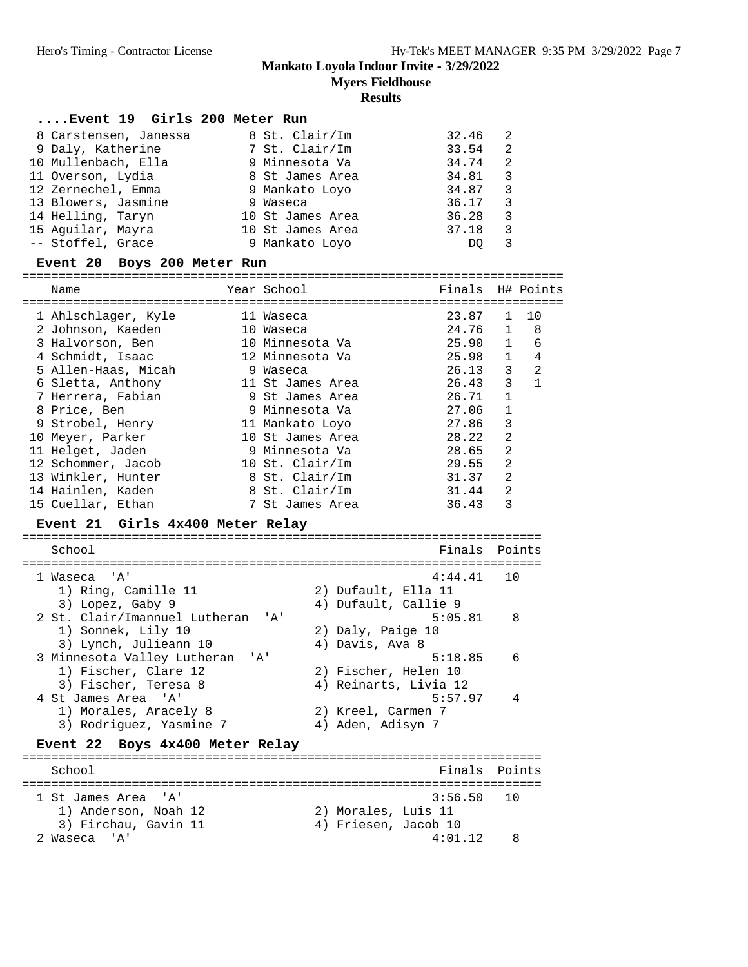**Myers Fieldhouse**

#### **Results**

#### **....Event 19 Girls 200 Meter Run**

| 8 Carstensen, Janessa | 8 St. Clair/Im   | 32.46 | - 2                     |
|-----------------------|------------------|-------|-------------------------|
| 9 Daly, Katherine     | 7 St. Clair/Im   | 33.54 | 2                       |
| 10 Mullenbach, Ella   | 9 Minnesota Va   | 34.74 | -2                      |
| 11 Overson, Lydia     | 8 St James Area  | 34.81 | $\overline{\mathbf{3}}$ |
| 12 Zernechel, Emma    | 9 Mankato Loyo   | 34.87 | -3                      |
| 13 Blowers, Jasmine   | 9 Waseca         | 36.17 | 3                       |
| 14 Helling, Taryn     | 10 St James Area | 36.28 | -3                      |
| 15 Aguilar, Mayra     | 10 St James Area | 37.18 | 3                       |
| -- Stoffel, Grace     | 9 Mankato Loyo   | DO    |                         |

#### **Event 20 Boys 200 Meter Run**

========================================================================== Name Year School Finals H# Points ========================================================================== 1 Ahlschlager, Kyle 11 Waseca 23.87 1 10 2 Johnson, Kaeden 10 Waseca 24.76 1 8 3 Halvorson, Ben 10 Minnesota Va 25.90 1 6 4 Schmidt, Isaac 12 Minnesota Va 25.98 1 4 5 Allen-Haas, Micah 9 Waseca 26.13 3 2 6 Sletta, Anthony 11 St James Area 26.43 3 1 7 Herrera, Fabian 9 St James Area 26.71 1 8 Price, Ben 9 Minnesota Va 27.06 1 9 Strobel, Henry 11 Mankato Loyo 27.86 3 10 Meyer, Parker 10 St James Area 28.22 2 11 Helget, Jaden 9 Minnesota Va 28.65 2 12 Schommer, Jacob 10 St. Clair/Im 29.55 2 13 Winkler, Hunter 8 St. Clair/Im 31.37 2 14 Hainlen, Kaden 8 St. Clair/Im 31.44 2 15 Cuellar, Ethan 7 St James Area 36.43 3 **Event 21 Girls 4x400 Meter Relay** ======================================================================= School **Finals Points** ======================================================================= 1 Waseca 'A' 4:44.41 10 1) Ring, Camille 11 2) Dufault, Ella 11 3) Lopez, Gaby 9 4) Dufault, Callie 9 2 St. Clair/Imannuel Lutheran 'A' 5:05.81 8 1) Sonnek, Lily 10 2) Daly, Paige 10 1) Sonnek, Lily 10 (2) Daly, Paige 10<br>3) Lynch, Julieann 10 (4) Davis, Ava 8<br>11 (5:18.85) 13.85 3 Minnesota Valley Lutheran 'A' 5:18.85 6 1) Fischer, Clare 12 2) Fischer, Helen 10 3) Fischer, Teresa 8 4) Reinarts, Livia 12 4 St James Area 'A' 5:57.97 4 1) Morales, Aracely 8 2) Kreel, Carmen 7 3) Rodriguez, Yasmine 7 (4) Aden, Adisyn 7 **Event 22 Boys 4x400 Meter Relay** ======================================================================= School **Finals Points** ======================================================================= 1 St James Area 'A' 3:56.50 10 1) Anderson, Noah 12 2) Morales, Luis 11 3) Firchau, Gavin 11 (4) Friesen, Jacob 10 2 Waseca 'A' 4:01.12 8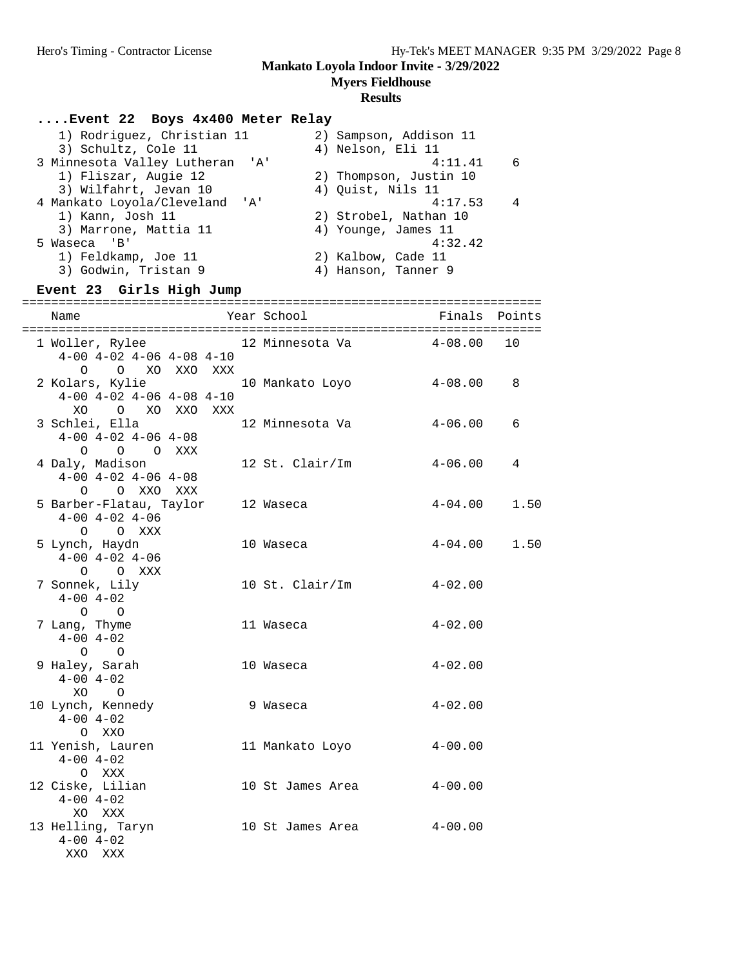**Myers Fieldhouse**

# **Results**

# **....Event 22 Boys 4x400 Meter Relay**

| 1) Rodriguez, Christian 11      | 2) Sampson, Addison 11 |
|---------------------------------|------------------------|
| 3) Schultz, Cole 11             | 4) Nelson, Eli 11      |
| 3 Minnesota Valley Lutheran 'A' | 4:11.41<br>6           |
| 1) Fliszar, Augie 12            | 2) Thompson, Justin 10 |
| 3) Wilfahrt, Jevan 10           | 4) Quist, Nils 11      |
| 4 Mankato Loyola/Cleveland 'A'  | 4:17.53<br>4           |
| 1) Kann, Josh 11                | 2) Strobel, Nathan 10  |
| 3) Marrone, Mattia 11           | 4) Younge, James 11    |
| 5 Waseca 'B'                    | 4:32.42                |
| 1) Feldkamp, Joe 11             | 2) Kalbow, Cade 11     |
| 3) Godwin, Tristan 9            | 4) Hanson, Tanner 9    |
|                                 |                        |

# **Event 23 Girls High Jump**

| Name                                                                                                                    |  | Year School             | Finals      | Points |
|-------------------------------------------------------------------------------------------------------------------------|--|-------------------------|-------------|--------|
| 1 Woller, Rylee                       12 Minnesota Va<br>$4-00$ $4-02$ $4-06$ $4-08$ $4-10$<br>O XO XXO XXX<br>$\Omega$ |  |                         | $4 - 08.00$ | 10     |
| 2 Kolars, Kylie<br>$4-00$ $4-02$ $4-06$ $4-08$ $4-10$<br>XO O XO XXO XXX                                                |  | 10 Mankato Loyo 4-08.00 |             | 8      |
| 3 Schlei, Ella<br>$4-00$ $4-02$ $4-06$ $4-08$<br>O O O XXX                                                              |  | 12 Minnesota Va         | $4 - 06.00$ | 6      |
| 4 Daly, Madison<br>$4-00$ $4-02$ $4-06$ $4-08$<br>O OXXOXXX                                                             |  | 12 St. Clair/Im         | 4-06.00     | 4      |
| 5 Barber-Flatau, Taylor<br>$4-00$ $4-02$ $4-06$<br>O O XXX                                                              |  | 12 Waseca               | $4 - 04.00$ | 1.50   |
| 5 Lynch, Haydn<br>$4-00$ $4-02$ $4-06$<br>O O XXX                                                                       |  | 10 Waseca               | $4 - 04.00$ | 1.50   |
| 7 Sonnek, Lily<br>$4 - 00$ $4 - 02$<br>$\circ$ $\circ$                                                                  |  | 10 St. Clair/Im         | $4 - 02.00$ |        |
| 7 Lang, Thyme<br>$4 - 00$ $4 - 02$<br>$\Omega$ $\Omega$                                                                 |  | 11 Waseca               | $4 - 02.00$ |        |
| 9 Haley, Sarah<br>$4 - 00$ $4 - 02$<br>XO O                                                                             |  | 10 Waseca               | $4 - 02.00$ |        |
| 10 Lynch, Kennedy<br>$4 - 00$ $4 - 02$<br>O XXO                                                                         |  | 9 Waseca                | $4 - 02.00$ |        |
| 11 Yenish, Lauren<br>$4 - 00$ $4 - 02$<br>O XXX                                                                         |  | 11 Mankato Loyo         | $4 - 00.00$ |        |
| 12 Ciske, Lilian<br>$4 - 00$ $4 - 02$<br>XO XXX                                                                         |  | 10 St James Area        | $4 - 00.00$ |        |
| 13 Helling, Taryn<br>$4 - 00$ $4 - 02$<br>XXO XXX                                                                       |  | 10 St James Area        | $4 - 00.00$ |        |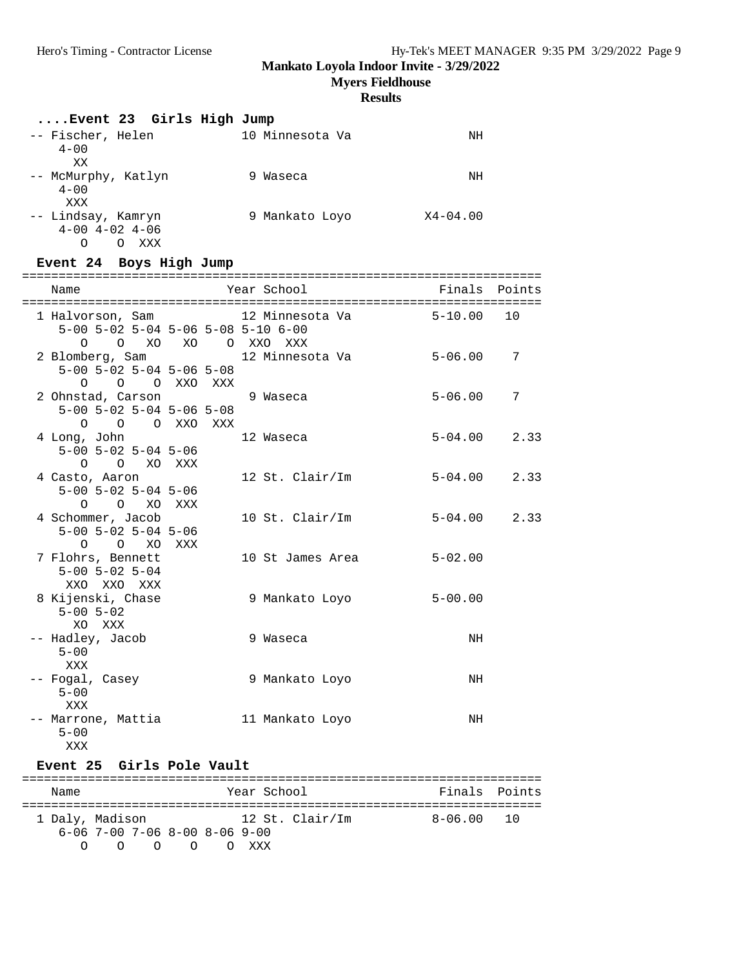**Myers Fieldhouse**

# **Results**

| Event 23 Girls High Jump                                                                                        |                         |               |      |
|-----------------------------------------------------------------------------------------------------------------|-------------------------|---------------|------|
| -- Fischer, Helen 10 Minnesota Va<br>$4 - 00$<br>XХ                                                             |                         | NH            |      |
| -- McMurphy, Katlyn<br>$4 - 00$<br>XXX                                                                          | er de 19 Waseca         | NH            |      |
| -- Lindsay, Kamryn<br>$4-00$ $4-02$ $4-06$<br>O O XXX                                                           | 9 Mankato Loyo X4-04.00 |               |      |
| Event 24 Boys High Jump                                                                                         |                         |               |      |
| Name                                                                                                            | Year School             | Finals Points |      |
| 1 Halvorson, Sam                   12 Minnesota Va<br>5-00 5-02 5-04 5-06 5-08 5-10 6-00<br>0 0 XO XO 0 XXO XXX |                         | $5 - 10.00$   | 10   |
| 2 Blomberg, Sam<br>$5-00$ $5-02$ $5-04$ $5-06$ $5-08$<br>0 0 0 XXO XXX                                          | 12 Minnesota Va         | $5 - 06.00$   | 7    |
| 2 Ohnstad, Carson<br>$5-00$ $5-02$ $5-04$ $5-06$ $5-08$<br>O O O XXO XXX                                        | 9 Waseca                | $5 - 06.00$   | 7    |
| 4 Long, John<br>$5 - 00$ $5 - 02$ $5 - 04$ $5 - 06$<br>O O XO XXX                                               | 12 Waseca               | $5 - 04.00$   | 2.33 |
| 4 Casto, Aaron<br>$5-00$ $5-02$ $5-04$ $5-06$<br>O O XO XXX                                                     | 12 St. Clair/Im         | 5-04.00       | 2.33 |
| 4 Schommer, Jacob<br>$5-00$ $5-02$ $5-04$ $5-06$<br>O O XO XXX                                                  | 10 St. Clair/Im         | $5 - 04.00$   | 2.33 |
| 7 Flohrs, Bennett<br>$5 - 00$ $5 - 02$ $5 - 04$<br>XXO XXO XXX                                                  | 10 St James Area        | $5 - 02.00$   |      |
| 8 Kijenski, Chase<br>$5 - 00$ $5 - 02$<br>XO XXX                                                                | 9 Mankato Loyo          | $5 - 00.00$   |      |
| -- Hadley, Jacob<br>$5 - 00$<br>XXX                                                                             | 9 Waseca                | NH            |      |
| -- Fogal, Casey<br>$5 - 00$<br>XXX                                                                              | 9 Mankato Loyo          | NH            |      |
| -- Marrone, Mattia<br>$5 - 00$<br>XXX                                                                           | 11 Mankato Loyo         | NH            |      |
| Event 25 Girls Pole Vault                                                                                       |                         |               |      |

======================================================================= Name That School Finals Points ======================================================================= 1 Daly, Madison 12 St. Clair/Im 8-06.00 10 6-06 7-00 7-06 8-00 8-06 9-00 O O O O O XXX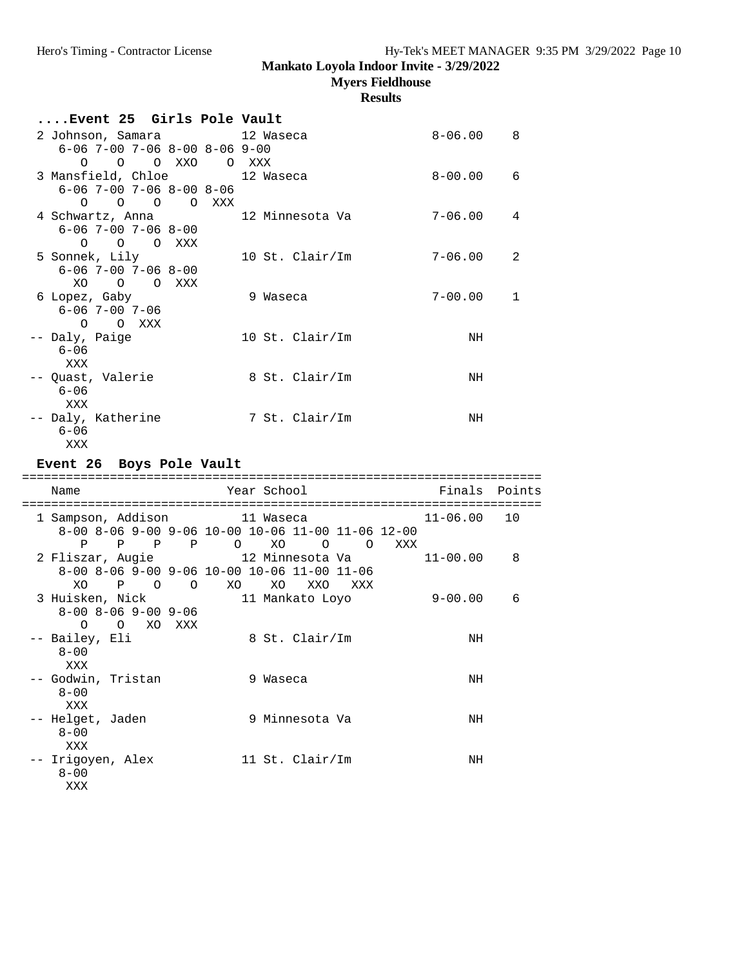**Myers Fieldhouse**

| Event 25 Girls Pole Vault                                                      |                                                                       |               |    |
|--------------------------------------------------------------------------------|-----------------------------------------------------------------------|---------------|----|
| 2 Johnson, Samara<br>$6 - 06$ 7-00 7-06 8-00 8-06 9-00<br>O O XXO<br>O         | 12 Waseca<br>O XXX                                                    | $8 - 06.00$   | 8  |
| 3 Mansfield, Chloe<br>$6 - 06$ 7-00 7-06 8-00 8-06<br>0 0 0 0 XXX              | 12 Waseca                                                             | $8 - 00.00$   | 6  |
| 4 Schwartz, Anna<br>$6 - 06$ 7-00 7-06 8-00<br>$\circ$<br>O OXXX               | 12 Minnesota Va                                                       | 7-06.00       | 4  |
| 5 Sonnek, Lily<br>$6 - 06$ 7-00 7-06 8-00<br>XO O O XXX                        | 10 St. Clair/Im                                                       | $7 - 06.00$   | 2  |
| 6 Lopez, Gaby<br>$6 - 06$ 7-00 7-06<br>O O XXX                                 | 9 Waseca                                                              | $7 - 00.00$   | 1  |
| -- Daly, Paige<br>$6 - 06$<br>XXX                                              | 10 St. Clair/Im                                                       | NH            |    |
| -- Quast, Valerie<br>$6 - 06$<br>XXX                                           | 8 St. Clair/Im                                                        | NH            |    |
| -- Daly, Katherine<br>$6 - 06$<br>XXX                                          | 7 St. Clair/Im                                                        | NH            |    |
|                                                                                |                                                                       |               |    |
| Event 26 Boys Pole Vault                                                       |                                                                       |               |    |
| Name                                                                           | Year School                                                           | Finals Points |    |
| 1 Sampson, Addison 11 Waseca<br>$\mathbf{P}$                                   | 8-00 8-06 9-00 9-06 10-00 10-06 11-00 11-06 12-00                     | $11 - 06.00$  | 10 |
| P P P O XO<br>2 Fliszar, Augie                       12 Minnesota Va           | $\circ$ $\circ$<br>XXX<br>8-00 8-06 9-00 9-06 10-00 10-06 11-00 11-06 | $11 - 00.00$  | 8  |
| 3 Huisken, Nick<br>$8 - 00$ $8 - 06$ $9 - 00$ $9 - 06$<br>O XO XXX<br>$\Omega$ | XO P O O XO XO XXO XXX<br>11 Mankato Loyo                             | $9 - 00.00$   | 6  |
| -- Bailey, Eli<br>$8 - 00$<br>XXX                                              | 8 St. Clair/Im                                                        | NH            |    |
| -- Godwin, Tristan<br>$8 - 00$<br>XXX                                          | 9 Waseca                                                              | NH            |    |
| Helget, Jaden<br>$8 - 00$<br>XXX                                               | 9 Minnesota Va                                                        | NH            |    |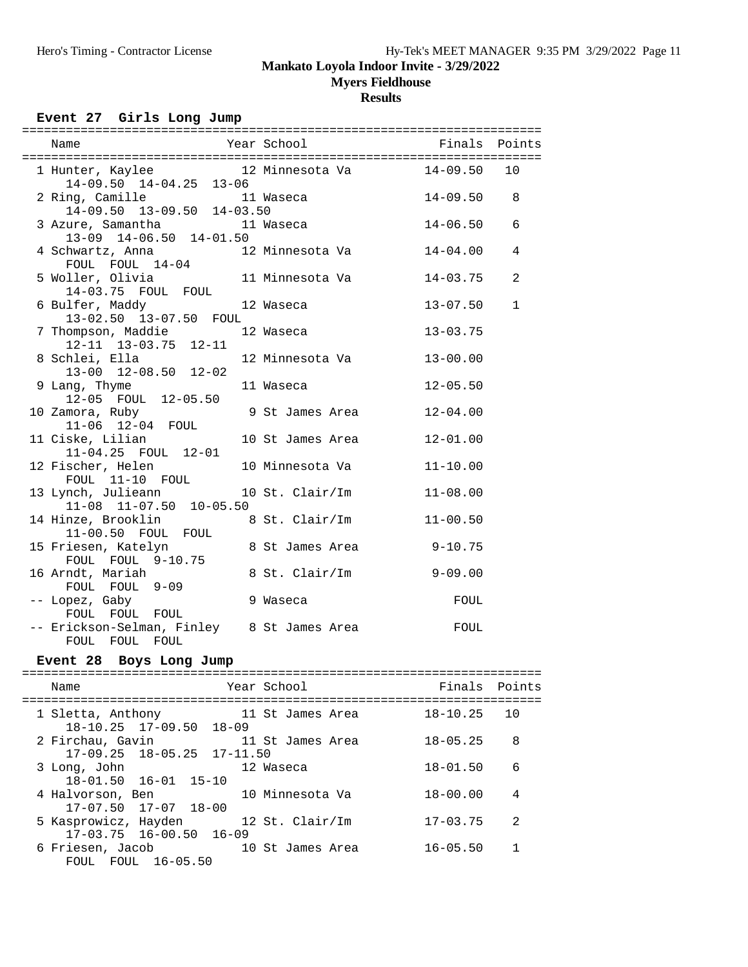**Myers Fieldhouse**

## **Results**

17-07.50 17-07 18-00

17-03.75 16-00.50 16-09<br>6 Friesen, Jacob 10

FOUL FOUL 16-05.50

| Event 27 Girls Long Jump                                                  |                         |              |              |
|---------------------------------------------------------------------------|-------------------------|--------------|--------------|
|                                                                           |                         |              |              |
| 1 Hunter, Kaylee 12 Minnesota Va 14-09.50 10<br>14-09.50 14-04.25 13-06   |                         |              |              |
| ng, Camille 11 Waseca<br>14-09.50 13-09.50 14-03.50<br>2 Ring, Camille    |                         | $14 - 09.50$ | 8            |
| 3 Azure, Samantha 11 Waseca<br>13-09 14-06.50 14-01.50                    |                         | $14 - 06.50$ | 6            |
| 4 Schwartz, Anna                                                          | 12 Minnesota Va         | $14 - 04.00$ | 4            |
| FOUL FOUL 14-04<br>5 Woller, Olivia 11 Minnesota Va<br>14-03.75 FOUL FOUL |                         | $14 - 03.75$ | 2            |
| 6 Bulfer, Maddy 12 Waseca<br>13-02.50 13-07.50 FOUL                       |                         | $13 - 07.50$ | $\mathbf{1}$ |
| 7 Thompson, Maddie               12 Waseca                                |                         | $13 - 03.75$ |              |
| 12-11 13-03.75 12-11<br>8 Schlei, Ella<br>13-00 12-08.50 12-02            | 12 Minnesota Va         | $13 - 00.00$ |              |
| 9 Lang, Thyme<br>12-05 FOUL 12-05.50<br>11 Waseca                         |                         | $12 - 05.50$ |              |
| 10 Zamora, Ruby                                                           | 9 St James Area         | $12 - 04.00$ |              |
| 11-06 12-04 FOUL<br>11 Ciske, Lilian                                      | 10 St James Area        | $12 - 01.00$ |              |
| 11-04.25 FOUL 12-01<br>12 Fischer, Helen 10 Minnesota Va                  |                         | $11 - 10.00$ |              |
| FOUL 11-10 FOUL<br>13 Lynch, Julieann 10 St. Clair/Im                     |                         | $11 - 08.00$ |              |
| 11-08 11-07.50 10-05.50<br>14 Hinze, Brooklin<br>11-00.50 FOUL FOUL       | 8 St. Clair/Im          | $11 - 00.50$ |              |
| 15 Friesen, Katelyn                                                       | 8 St James Area 9-10.75 |              |              |
| FOUL FOUL 9-10.75<br>16 Arndt, Mariah                                     | 8 St. Clair/Im 9-09.00  |              |              |
| FOUL FOUL 9-09<br>-- Lopez, Gaby<br>9 Waseca                              |                         | FOUL         |              |
| FOUL FOUL FOUL<br>-- Erickson-Selman, Finley 8 St James Area              |                         | FOUL         |              |
| FOUL FOUL FOUL<br>Event 28 Boys Long Jump                                 |                         |              |              |
|                                                                           |                         |              |              |
| Name<br>Year School                                                       |                         | Finals       | Points       |
| 1 Sletta, Anthony<br>18-10.25 17-09.50 18-09                              | 11 St James Area        | $18 - 10.25$ | 10           |
| 2 Firchau, Gavin<br>$17 - 11.50$<br>$17 - 09.25$                          | 11 St James Area        | $18 - 05.25$ | 8            |
| 18-05.25<br>12 Waseca<br>3 Long, John                                     |                         | $18 - 01.50$ | 6            |
| $18 - 01.50$<br>$16 - 01$ $15 - 10$<br>4 Halvorson, Ben                   | 10 Minnesota Va         | $18 - 00.00$ | 4            |

5 Kasprowicz, Hayden 12 St. Clair/Im 17-03.75 2

10 St James Area 16-05.50 1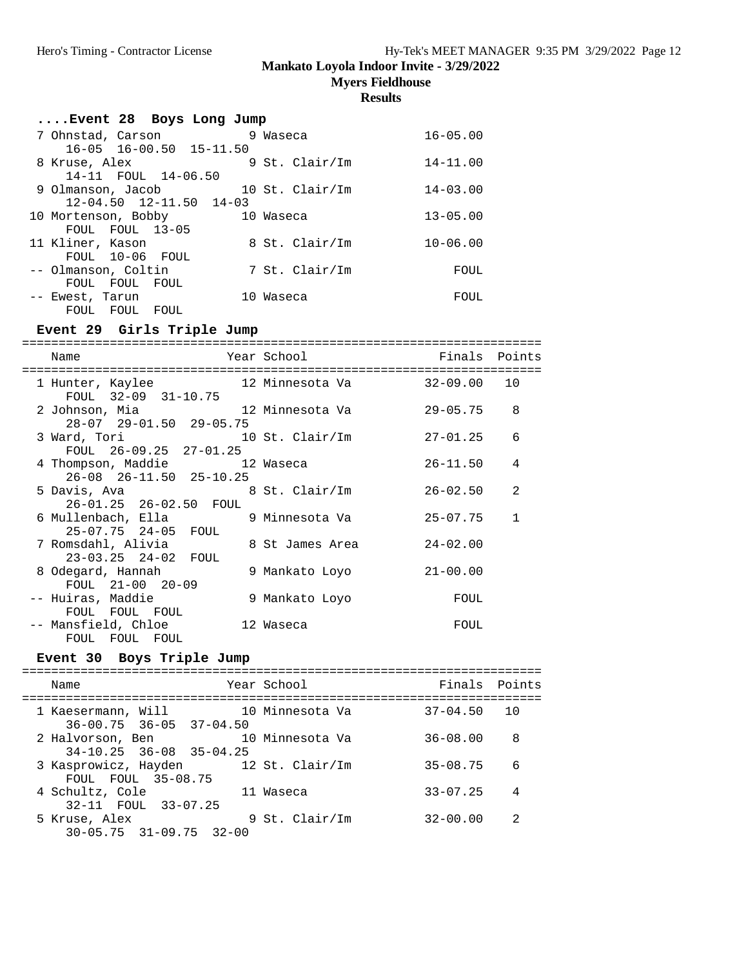**Myers Fieldhouse**

**Results**

| Event 28 Boys Long Jump                |              |
|----------------------------------------|--------------|
| 7 Ohnstad, Carson<br>9 Waseca          | $16 - 05.00$ |
| $16-05$ $16-00.50$ $15-11.50$          |              |
| 9 St. Clair/Im<br>8 Kruse, Alex        | $14 - 11.00$ |
| 14-11 FOUL 14-06.50                    |              |
| 10 St. $Clair/Im$<br>9 Olmanson, Jacob | $14 - 03.00$ |
| $12 - 04.50$ $12 - 11.50$ $14 - 03$    |              |
| 10 Mortenson, Bobby<br>10 Waseca       | $13 - 05.00$ |
| FOUL FOUL 13-05                        |              |
| 11 Kliner, Kason<br>8 St. Clair/Im     | $10 - 06.00$ |
| FOUL 10-06 FOUL                        |              |
| 7 St. Clair/Im<br>-- Olmanson, Coltin  | FOUL         |
| FOUL FOUL FOUL                         |              |
| 10 Waseca<br>-- Ewest, Tarun           | FOUL         |
| FOUL FOUL<br>FOUL                      |              |

### **Event 29 Girls Triple Jump**

======================================================================= Name The Year School The Finals Points ======================================================================= 1 Hunter, Kaylee 12 Minnesota Va 32-09.00 10 FOUL 32-09 31-10.75 2 Johnson, Mia 12 Minnesota Va 29-05.75 8 28-07 29-01.50 29-05.75<br>3 Ward, Tori 10  $\frac{10 \text{ St. Clair/Im}}{27-01.25}$  6 FOUL 26-09.25 27-01.25 4 Thompson, Maddie 12 Waseca 26-11.50 4 26-08 26-11.50 25-10.25 5 Davis, Ava 8 St. Clair/Im 26-02.50 2 26-01.25 26-02.50 FOUL 6 Mullenbach, Ella 9 Minnesota Va 25-07.75 1 25-07.75 24-05 FOUL 7 Romsdahl, Alivia 8 St James Area 24-02.00 23-03.25 24-02 FOUL 8 Odegard, Hannah 9 Mankato Loyo 21-00.00 FOUL 21-00 20-09 -- Huiras, Maddie 9 Mankato Loyo FOUL FOUL FOUL FOUL -- Mansfield, Chloe 12 Waseca FOUL FOUL FOUL FOUL

## **Event 30 Boys Triple Jump**

| Name                                                       | Year School     | Finals Points   |                |
|------------------------------------------------------------|-----------------|-----------------|----------------|
| 1 Kaesermann, Will<br>$36 - 00.75$ $36 - 05$ $37 - 04.50$  | 10 Minnesota Va | $37 - 04.50$ 10 |                |
| 2 Halvorson, Ben<br>$34-10.25$ $36-08$ $35-04.25$          | 10 Minnesota Va | $36 - 08.00$    | 8              |
| 3 Kasprowicz, Hayden 12 St. Clair/Im<br>FOUL FOUL 35-08.75 |                 | $35 - 08.75$    | 6              |
| 4 Schultz, Cole<br>32-11 FOUL 33-07.25                     | 11 Waseca       | $33 - 07.25$    | $\overline{4}$ |
| 5 Kruse, Alex<br>$30 - 05.75$ $31 - 09.75$ $32 - 00$       | 9 St. Clair/Im  | $32 - 00.00$    | 2              |
|                                                            |                 |                 |                |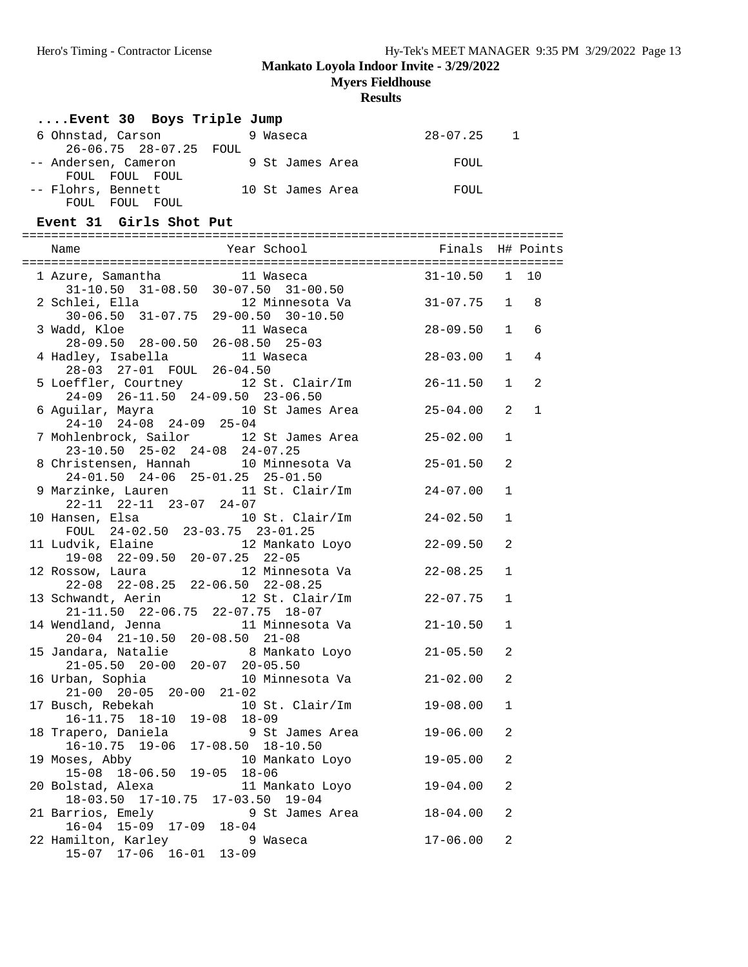**Myers Fieldhouse**

| Event 30 Boys Triple Jump                                                                                                |                  |              |              |
|--------------------------------------------------------------------------------------------------------------------------|------------------|--------------|--------------|
| $28-07.25$ 1<br>6 Ohnstad, Carson 9 Waseca<br>26-06.75 28-07.25 FOUL                                                     |                  |              |              |
| -- Andersen, Cameron 9 St James Area FOUL<br>FOUL FOUL FOUL<br>-- Flohrs, Bennett 10 St James Area FOUL                  |                  |              |              |
| FOUL FOUL FOUL                                                                                                           |                  |              |              |
| Event 31 Girls Shot Put                                                                                                  |                  |              |              |
|                                                                                                                          |                  |              |              |
|                                                                                                                          |                  |              |              |
|                                                                                                                          |                  |              |              |
| 1 Azure, Samantha 11 Waseca 31-10.50 1 10<br>31-10.50 31-08.50 30-07.50 31-00.50                                         |                  |              |              |
| 2 Schlei, Ella 12 Minnesota Va<br>30-06.50 31-07.75 29-00.50 30-10.50                                                    | $31 - 07.75$ 1 8 |              |              |
|                                                                                                                          |                  |              |              |
| 3 Wadd, Kloe 11 Waseca<br>28-09.50 28-00.50 26-08.50 25-03<br>4 Hadley, Isabella 11 Waseca<br>28-03 27-01 FOUL 26-04.50  | $28 - 09.50$ 1   |              | 6            |
|                                                                                                                          |                  |              |              |
|                                                                                                                          | $28 - 03.00$ 1   |              | 4            |
|                                                                                                                          |                  |              |              |
| 5 Loeffler, Courtney 12 St. Clair/Im 26-11.50 1                                                                          |                  |              | 2            |
| 24-09 26-11.50 24-09.50 23-06.50                                                                                         |                  |              |              |
| 6 Aguilar, Mayra 10 St James Area 25-04.00 2                                                                             |                  |              | $\mathbf{1}$ |
| $24-10$ $24-08$ $24-09$ $25-04$                                                                                          |                  |              |              |
| 7 Mohlenbrock, Sailor 12 St James Area 25-02.00                                                                          |                  | $\mathbf{1}$ |              |
| 23-10.50 25-02 24-08 24-07.25                                                                                            |                  |              |              |
| 8 Christensen, Hannah 10 Minnesota Va                                                                                    | $25 - 01.50$     | 2            |              |
| 24-01.50 24-06 25-01.25 25-01.50                                                                                         |                  |              |              |
| 9 Marzinke, Lauren 11 St. Clair/Im                                                                                       | 24-07.00         | $\mathbf{1}$ |              |
| 22-11 22-11 23-07 24-07                                                                                                  |                  |              |              |
| 10 Hansen, Elsa 10 St. Clair/Im 24-02.50<br>FOUL 24-02.50 23-03.75 23-01.25                                              |                  | $\mathbf{1}$ |              |
|                                                                                                                          |                  |              |              |
| 11 Ludvik, Elaine 12 Mankato Loyo 22-09.50<br>19-08 22-09.50 20-07.25 22-05<br>12 Rossow, Laura 12 Minnesota Va 22-08.25 |                  | 2            |              |
|                                                                                                                          |                  |              |              |
|                                                                                                                          |                  | $\mathbf{1}$ |              |
| 22-08 22-08.25 22-06.50 22-08.25                                                                                         |                  |              |              |
| 13 Schwandt, Aerin 12 St. Clair/Im 22-07.75                                                                              |                  | 1            |              |
| 21-11.50 22-06.75 22-07.75 18-07                                                                                         |                  |              |              |
| 14 Wendland, Jenna 11 Minnesota Va 21-10.50                                                                              |                  | 1            |              |
| 20-04 21-10.50 20-08.50 21-08                                                                                            |                  |              |              |
| 15 Jandara, Natalie 8 Mankato Loyo 21-05.50 2<br>21-05.50 20-00 20-07 20-05.50                                           |                  |              |              |
|                                                                                                                          |                  |              |              |
| 16 Urban, Sophia<br>10 Minnesota Va                                                                                      | $21 - 02.00$     | 2            |              |
| $21-00$ $20-05$ $20-00$ $21-02$                                                                                          |                  |              |              |
| 17 Busch, Rebekah<br>10 St. Clair/Im                                                                                     | $19 - 08.00$     | $\mathbf 1$  |              |
| 16-11.75 18-10 19-08 18-09                                                                                               |                  |              |              |
| 18 Trapero, Daniela<br>9 St James Area                                                                                   | $19 - 06.00$     | 2            |              |
| $16-10.75$ 19-06 17-08.50 18-10.50                                                                                       |                  |              |              |
| 19 Moses, Abby<br>10 Mankato Loyo                                                                                        | $19 - 05.00$     | 2            |              |
| 15-08 18-06.50 19-05 18-06                                                                                               |                  |              |              |
| 20 Bolstad, Alexa<br>11 Mankato Loyo                                                                                     | $19 - 04.00$     | 2            |              |
| 18-03.50 17-10.75 17-03.50 19-04                                                                                         |                  |              |              |
| 21 Barrios, Emely 3 9 St James Area                                                                                      | $18 - 04.00$     | 2            |              |
| 16-04 15-09 17-09 18-04                                                                                                  |                  |              |              |
| 22 Hamilton, Karley<br>9 Waseca                                                                                          | $17 - 06.00$     | 2            |              |
| 15-07 17-06 16-01 13-09                                                                                                  |                  |              |              |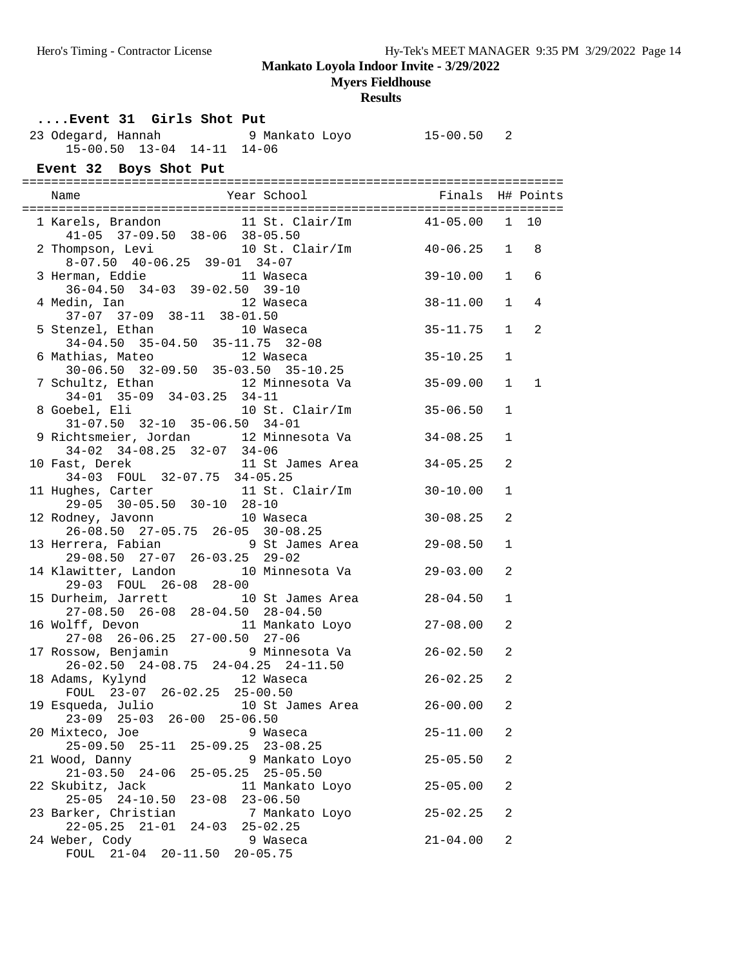**Myers Fieldhouse**

| Event 31 Girls Shot Put                                                                                                                                         |                              |                              |   |
|-----------------------------------------------------------------------------------------------------------------------------------------------------------------|------------------------------|------------------------------|---|
| 23 Odegard, Hannah (23 Odegard, Hannah (24 Odegard, 24 Odegard, 25 Odegard, 25 Odegard, 25 Odegard, 2<br>15-00.50 13-04 14-11 14-06                             |                              |                              |   |
| Event 32 Boys Shot Put                                                                                                                                          |                              |                              |   |
|                                                                                                                                                                 |                              |                              |   |
| 1 Karels, Brandon 11 St. Clair/Im 41-05.00 1 10<br>41-05 37-09.50 38-06 38-05.50<br>2 Thompson, Levi 10 St. Clair/Im 40-06.25 1 8                               |                              |                              |   |
| $8-07.50$ $40-06.25$ $39-01$ $34-07$                                                                                                                            |                              |                              |   |
| 3 Herman, Eddie 11 Waseca<br>36-04.50 34-03 39-02.50 39-10                                                                                                      | 39-10.00                     | $\mathbf{1}$                 | 6 |
| 4 Medin, Ian 12 Waseca<br>37-07 37-09 38-11 38-01.50                                                                                                            | $38 - 11.00$                 | $\mathbf{1}$                 | 4 |
| 5 Stenzel, Ethan 10 Waseca<br>34-04.50 35-04.50 35-11.75 32-08                                                                                                  | $35 - 11.75$                 | $\mathbf{1}$                 | 2 |
| 6 Mathias, Mateo<br>thias, Mateo 12 Waseca<br>30-06.50 32-09.50 35-03.50 35-10.25                                                                               | $35 - 10.25$                 | $\mathbf{1}$                 |   |
| 7 Schultz, Ethan 12 Minnesota Va<br>34-01 35-09 34-03.25 34-11<br>8 Goebel, Eli 10 St. Clair/Im                                                                 | $35 - 09.00$<br>$35 - 06.50$ | $\mathbf{1}$<br>$\mathbf{1}$ | 1 |
| $31-07.50$ $32-10$ $35-06.50$ $34-01$<br>9 Richtsmeier, Jordan 12 Minnesota Va                                                                                  | $34 - 08.25$                 | $\mathbf{1}$                 |   |
| 34-02 34-08.25 32-07 34-06                                                                                                                                      | $34 - 05.25$                 | 2                            |   |
| 10 Fast, Derek 11 St James Area<br>34-03 FOUL 32-07.75 34-05.25<br>11 Hughes, Carter 11 St. Clair/Im 30-10.00                                                   |                              | $\mathbf{1}$                 |   |
| $29-05$ 30-05.50 30-10 28-10<br>12 Rodney, Javonn 10 Waseca                                                                                                     | $30 - 08.25$                 | 2                            |   |
| 26-08.50 27-05.75 26-05 30-08.25<br>13 Herrera, Fabian 19 St James Area 29-08.50                                                                                |                              | $\mathbf{1}$                 |   |
| 29-08.50 27-07 26-03.25 29-02<br>14 Klawitter, Landon 10 Minnesota Va                                                                                           | $29 - 03.00$                 | 2                            |   |
| 29-03 FOUL 26-08 28-00<br>15 Durheim, Jarrett 10 St James Area 28-04.50                                                                                         |                              | $\mathbf{1}$                 |   |
| 27-08.50  26-08  28-04.50  28-04.50                                                                                                                             |                              | 2                            |   |
| 16 Wolff, Devon 11 Mankato Loyo 27-08.00<br>27-08 26-06.25 27-00.50 27-06<br>17 Rossow, Benjamin 9 Minnesota Va 26-02.50<br>26-02.50 24-08.75 24-04.25 24-11.50 |                              | 2                            |   |
| 18 Adams, Kylynd<br>12 Waseca<br>FOUL 23-07 26-02.25 25-00.50                                                                                                   | $26 - 02.25$                 | 2                            |   |
| 19 Esqueda, Julio<br>10 St James Area<br>23-09 25-03 26-00 25-06.50                                                                                             | $26 - 00.00$                 | 2                            |   |
| 20 Mixteco, Joe<br>9 Waseca<br>25-09.50 25-11 25-09.25 23-08.25                                                                                                 | $25 - 11.00$                 | 2                            |   |
| 9 Mankato Loyo<br>21 Wood, Danny<br>$21 - 03.50$ $24 - 06$<br>25-05.25 25-05.50                                                                                 | $25 - 05.50$                 | 2                            |   |
| 22 Skubitz, Jack<br>11 Mankato Loyo<br>$25 - 05$ $24 - 10.50$<br>$23 - 08$ $23 - 06.50$                                                                         | $25 - 05.00$                 | 2                            |   |
| 23 Barker, Christian<br>7 Mankato Loyo<br>$24-03$ $25-02.25$<br>$22 - 05.25$ $21 - 01$                                                                          | $25 - 02.25$                 | 2                            |   |
| 24 Weber, Cody<br>9 Waseca<br>FOUL 21-04 20-11.50 20-05.75                                                                                                      | $21 - 04.00$                 | $\overline{a}$               |   |